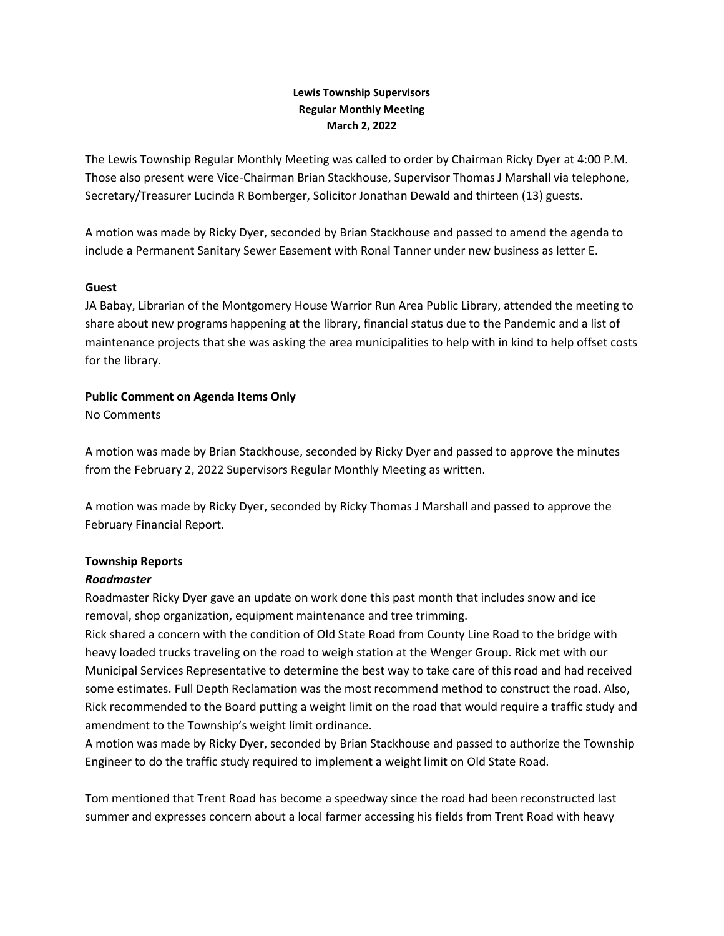### **Lewis Township Supervisors Regular Monthly Meeting March 2, 2022**

The Lewis Township Regular Monthly Meeting was called to order by Chairman Ricky Dyer at 4:00 P.M. Those also present were Vice-Chairman Brian Stackhouse, Supervisor Thomas J Marshall via telephone, Secretary/Treasurer Lucinda R Bomberger, Solicitor Jonathan Dewald and thirteen (13) guests.

A motion was made by Ricky Dyer, seconded by Brian Stackhouse and passed to amend the agenda to include a Permanent Sanitary Sewer Easement with Ronal Tanner under new business as letter E.

#### **Guest**

JA Babay, Librarian of the Montgomery House Warrior Run Area Public Library, attended the meeting to share about new programs happening at the library, financial status due to the Pandemic and a list of maintenance projects that she was asking the area municipalities to help with in kind to help offset costs for the library.

## **Public Comment on Agenda Items Only**

No Comments

A motion was made by Brian Stackhouse, seconded by Ricky Dyer and passed to approve the minutes from the February 2, 2022 Supervisors Regular Monthly Meeting as written.

A motion was made by Ricky Dyer, seconded by Ricky Thomas J Marshall and passed to approve the February Financial Report.

# **Township Reports**

# *Roadmaster*

Roadmaster Ricky Dyer gave an update on work done this past month that includes snow and ice removal, shop organization, equipment maintenance and tree trimming.

Rick shared a concern with the condition of Old State Road from County Line Road to the bridge with heavy loaded trucks traveling on the road to weigh station at the Wenger Group. Rick met with our Municipal Services Representative to determine the best way to take care of this road and had received some estimates. Full Depth Reclamation was the most recommend method to construct the road. Also, Rick recommended to the Board putting a weight limit on the road that would require a traffic study and amendment to the Township's weight limit ordinance.

A motion was made by Ricky Dyer, seconded by Brian Stackhouse and passed to authorize the Township Engineer to do the traffic study required to implement a weight limit on Old State Road.

Tom mentioned that Trent Road has become a speedway since the road had been reconstructed last summer and expresses concern about a local farmer accessing his fields from Trent Road with heavy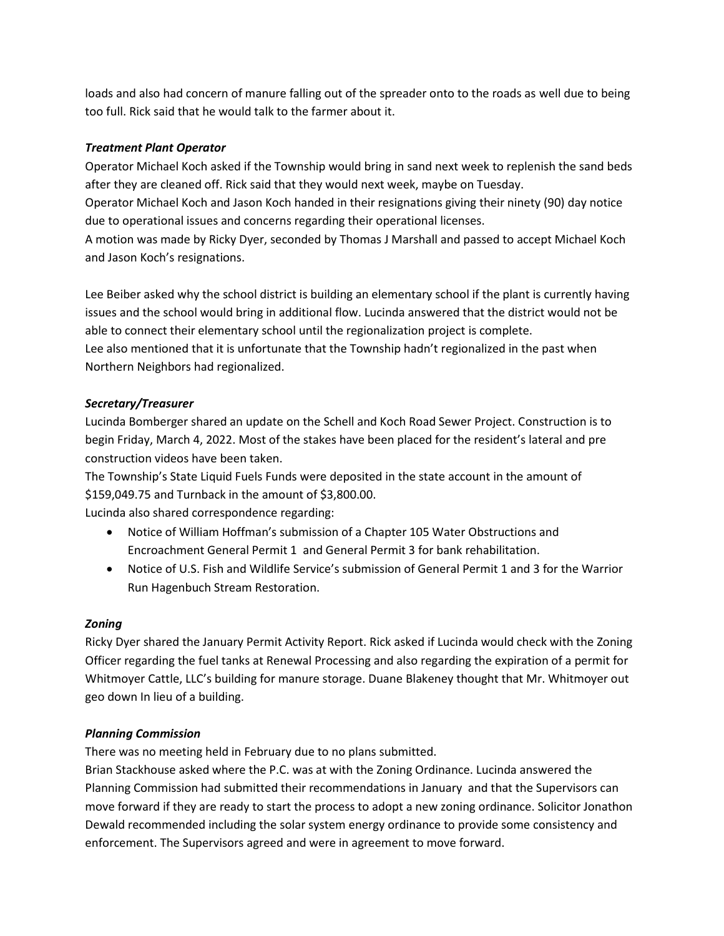loads and also had concern of manure falling out of the spreader onto to the roads as well due to being too full. Rick said that he would talk to the farmer about it.

### *Treatment Plant Operator*

Operator Michael Koch asked if the Township would bring in sand next week to replenish the sand beds after they are cleaned off. Rick said that they would next week, maybe on Tuesday.

Operator Michael Koch and Jason Koch handed in their resignations giving their ninety (90) day notice due to operational issues and concerns regarding their operational licenses.

A motion was made by Ricky Dyer, seconded by Thomas J Marshall and passed to accept Michael Koch and Jason Koch's resignations.

Lee Beiber asked why the school district is building an elementary school if the plant is currently having issues and the school would bring in additional flow. Lucinda answered that the district would not be able to connect their elementary school until the regionalization project is complete. Lee also mentioned that it is unfortunate that the Township hadn't regionalized in the past when Northern Neighbors had regionalized.

### *Secretary/Treasurer*

Lucinda Bomberger shared an update on the Schell and Koch Road Sewer Project. Construction is to begin Friday, March 4, 2022. Most of the stakes have been placed for the resident's lateral and pre construction videos have been taken.

The Township's State Liquid Fuels Funds were deposited in the state account in the amount of \$159,049.75 and Turnback in the amount of \$3,800.00.

Lucinda also shared correspondence regarding:

- Notice of William Hoffman's submission of a Chapter 105 Water Obstructions and Encroachment General Permit 1 and General Permit 3 for bank rehabilitation.
- Notice of U.S. Fish and Wildlife Service's submission of General Permit 1 and 3 for the Warrior Run Hagenbuch Stream Restoration.

### *Zoning*

Ricky Dyer shared the January Permit Activity Report. Rick asked if Lucinda would check with the Zoning Officer regarding the fuel tanks at Renewal Processing and also regarding the expiration of a permit for Whitmoyer Cattle, LLC's building for manure storage. Duane Blakeney thought that Mr. Whitmoyer out geo down In lieu of a building.

### *Planning Commission*

There was no meeting held in February due to no plans submitted.

Brian Stackhouse asked where the P.C. was at with the Zoning Ordinance. Lucinda answered the Planning Commission had submitted their recommendations in January and that the Supervisors can move forward if they are ready to start the process to adopt a new zoning ordinance. Solicitor Jonathon Dewald recommended including the solar system energy ordinance to provide some consistency and enforcement. The Supervisors agreed and were in agreement to move forward.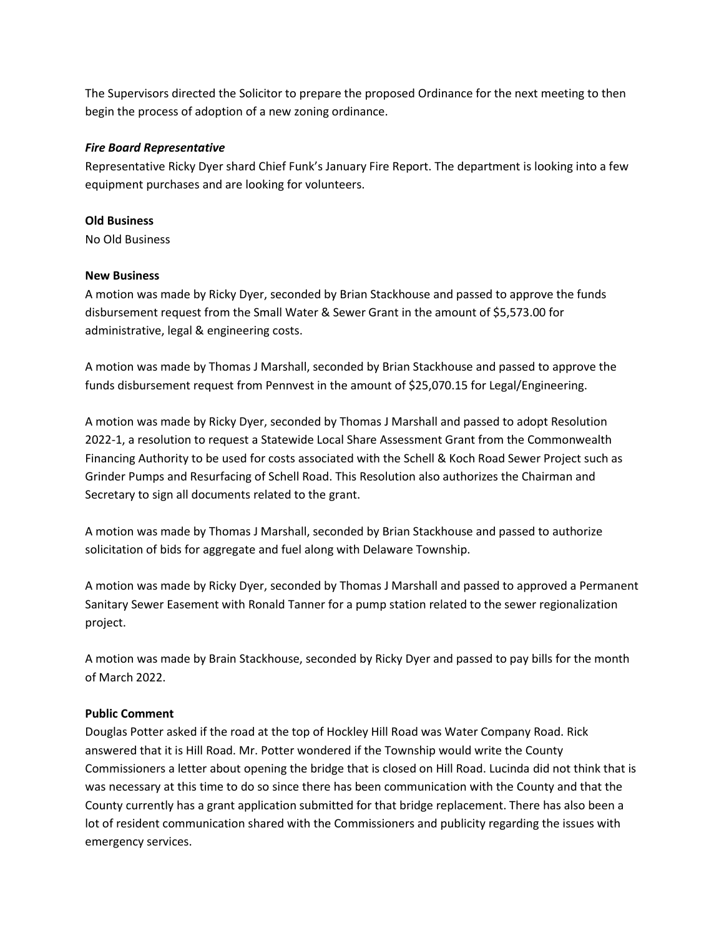The Supervisors directed the Solicitor to prepare the proposed Ordinance for the next meeting to then begin the process of adoption of a new zoning ordinance.

#### *Fire Board Representative*

Representative Ricky Dyer shard Chief Funk's January Fire Report. The department is looking into a few equipment purchases and are looking for volunteers.

#### **Old Business**

No Old Business

#### **New Business**

A motion was made by Ricky Dyer, seconded by Brian Stackhouse and passed to approve the funds disbursement request from the Small Water & Sewer Grant in the amount of \$5,573.00 for administrative, legal & engineering costs.

A motion was made by Thomas J Marshall, seconded by Brian Stackhouse and passed to approve the funds disbursement request from Pennvest in the amount of \$25,070.15 for Legal/Engineering.

A motion was made by Ricky Dyer, seconded by Thomas J Marshall and passed to adopt Resolution 2022-1, a resolution to request a Statewide Local Share Assessment Grant from the Commonwealth Financing Authority to be used for costs associated with the Schell & Koch Road Sewer Project such as Grinder Pumps and Resurfacing of Schell Road. This Resolution also authorizes the Chairman and Secretary to sign all documents related to the grant.

A motion was made by Thomas J Marshall, seconded by Brian Stackhouse and passed to authorize solicitation of bids for aggregate and fuel along with Delaware Township.

A motion was made by Ricky Dyer, seconded by Thomas J Marshall and passed to approved a Permanent Sanitary Sewer Easement with Ronald Tanner for a pump station related to the sewer regionalization project.

A motion was made by Brain Stackhouse, seconded by Ricky Dyer and passed to pay bills for the month of March 2022.

#### **Public Comment**

Douglas Potter asked if the road at the top of Hockley Hill Road was Water Company Road. Rick answered that it is Hill Road. Mr. Potter wondered if the Township would write the County Commissioners a letter about opening the bridge that is closed on Hill Road. Lucinda did not think that is was necessary at this time to do so since there has been communication with the County and that the County currently has a grant application submitted for that bridge replacement. There has also been a lot of resident communication shared with the Commissioners and publicity regarding the issues with emergency services.